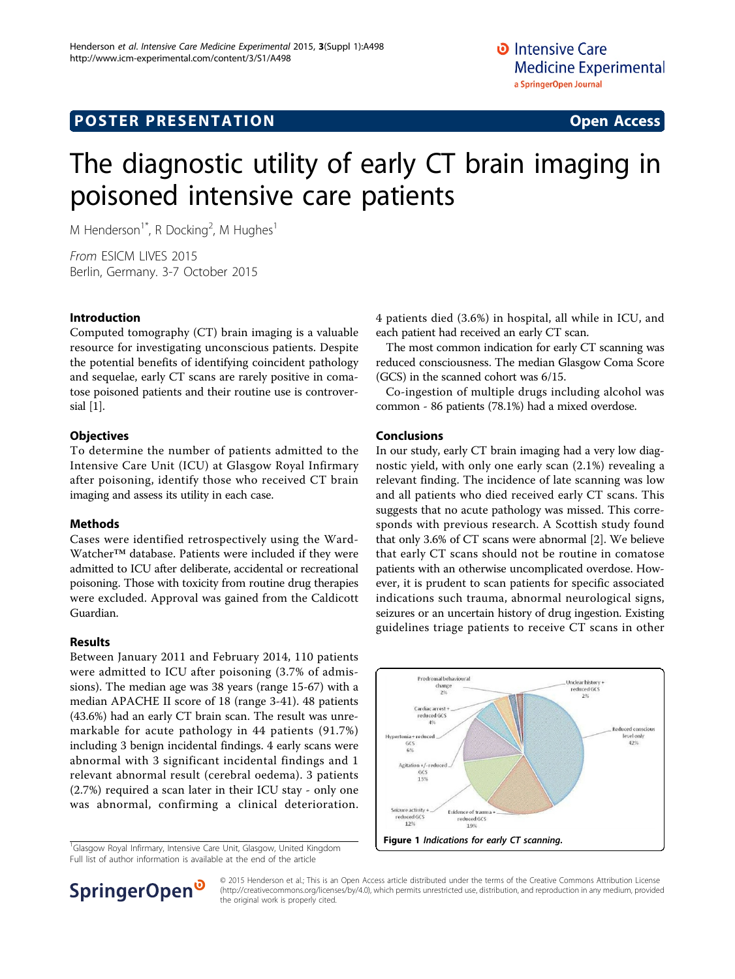# The diagnostic utility of early CT brain imaging in poisoned intensive care patients

M Henderson<sup>1\*</sup>, R Docking<sup>2</sup>, M Hughes<sup>1</sup>

From ESICM LIVES 2015 Berlin, Germany. 3-7 October 2015

# Introduction

Computed tomography (CT) brain imaging is a valuable resource for investigating unconscious patients. Despite the potential benefits of identifying coincident pathology and sequelae, early CT scans are rarely positive in comatose poisoned patients and their routine use is controversial [\[1\]](#page-1-0).

# **Objectives**

To determine the number of patients admitted to the Intensive Care Unit (ICU) at Glasgow Royal Infirmary after poisoning, identify those who received CT brain imaging and assess its utility in each case.

# Methods

Cases were identified retrospectively using the Ward-Watcher™ database. Patients were included if they were admitted to ICU after deliberate, accidental or recreational poisoning. Those with toxicity from routine drug therapies were excluded. Approval was gained from the Caldicott Guardian.

# Results

Between January 2011 and February 2014, 110 patients were admitted to ICU after poisoning (3.7% of admissions). The median age was 38 years (range 15-67) with a median APACHE II score of 18 (range 3-41). 48 patients (43.6%) had an early CT brain scan. The result was unremarkable for acute pathology in 44 patients (91.7%) including 3 benign incidental findings. 4 early scans were abnormal with 3 significant incidental findings and 1 relevant abnormal result (cerebral oedema). 3 patients (2.7%) required a scan later in their ICU stay - only one was abnormal, confirming a clinical deterioration.

<sup>1</sup>Glasgow Royal Infirmary, Intensive Care Unit, Glasgow, United Kingdom Full list of author information is available at the end of the article



The most common indication for early CT scanning was reduced consciousness. The median Glasgow Coma Score (GCS) in the scanned cohort was 6/15.

Co-ingestion of multiple drugs including alcohol was common - 86 patients (78.1%) had a mixed overdose.

# Conclusions

In our study, early CT brain imaging had a very low diagnostic yield, with only one early scan (2.1%) revealing a relevant finding. The incidence of late scanning was low and all patients who died received early CT scans. This suggests that no acute pathology was missed. This corresponds with previous research. A Scottish study found that only 3.6% of CT scans were abnormal [\[2](#page-1-0)]. We believe that early CT scans should not be routine in comatose patients with an otherwise uncomplicated overdose. However, it is prudent to scan patients for specific associated indications such trauma, abnormal neurological signs, seizures or an uncertain history of drug ingestion. Existing guidelines triage patients to receive CT scans in other





© 2015 Henderson et al.; This is an Open Access article distributed under the terms of the Creative Commons Attribution License [\(http://creativecommons.org/licenses/by/4.0](http://creativecommons.org/licenses/by/4.0)), which permits unrestricted use, distribution, and reproduction in any medium, provided the original work is properly cited.